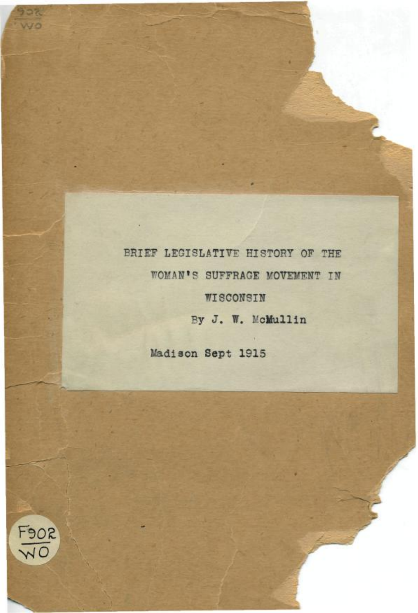BRIEF LEGISLATIVE HISTORY OF THE WOMAN'S SUFFRAGE MOVEMENT IN WISCONSIN By J. W. McMullin

Madison Sept 1915



902 wo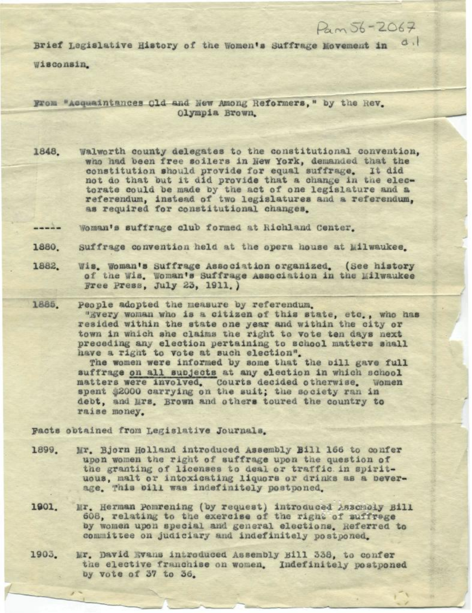Brief Legislative History of the Women's Suffrage Movement in di

 $D<sub>a</sub>$   $56 - 2067$ 

Wisconsin.

From "Acquaintances Old and New Among Reformers, " by the Rev. Olympia Brown.

Walworth county delegates to the constitutional convention. 1848. who had been free soilers in New York, demanded that the constitution should provide for equal suffrage. It did not do that but it did provide that a change in the electorate could be made by the act of one legislature and a referendum, instead of two legislatures and a referendum, as required for constitutional changes.

Woman's suffrage club formed at Richland Center.  $--- -$ 

- Suffrage convention held at the opera house at Milwaukee. 1880
- Wis. Woman's Suffrage Association organized. (See history 1882. of the Wis. Woman's Suffrage Association in the Milwaukee Free Press, July 23, 1911.)
- People adopted the measure by referendum. 1885. "Every woman who is a citizen of this state, etc., who has resided within the state one year and within the city or town in which she claims the right to vote ten days next preceding any election pertaining to school matters shall have a right to vote at such election".

The women were informed by some that the bill gave full suffrage on all subjects at any election in which school matters were involved. Courts decided otherwise. Women spent \$2000 carrying on the suit; the society ran in debt, and Mrs. Brown and others toured the country to raise money.

Facts obtained from Legislative Journals.

- Mr. Bjorn Holland introduced Assembly Bill 166 to confer 1899. upon women the right of suffrage upon the question of the granting of licenses to deal or traffic in spirituous, malt or intoxicating liquors or drinks as a beverage. This bill was indefinitely postponed.
- 1901. Mr. Herman Pomrening (by request) introduced Assembly Bill 608, relating to the exercise of the right of suffrege by women upon special and general elections. Referred to committee on judiciary and indefinitely postponed.
- 1903. Mr. David Evans introduced Assembly Bill 338, to confer the elective franchise on women. Indefinitely postponed by vote of 37 to 36.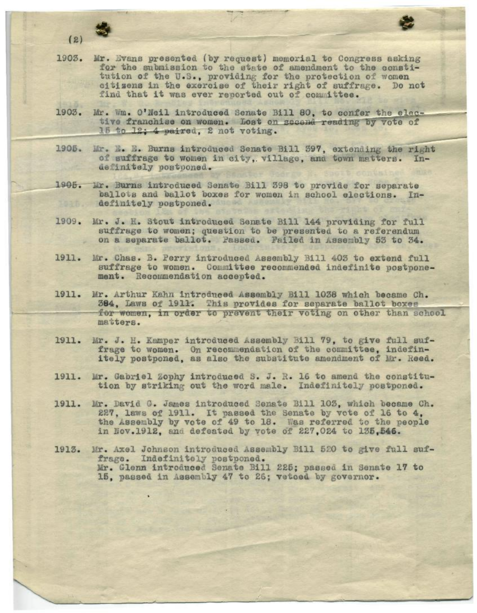

- 1903. Mr. Evans presented (by request) memorial to Congress asking for the submission to the state of amendment to the constitution of the U.S., providing for the protection of women citizens in the exercise of their right of suffrage. Do not find that it was ever reported out of committee.
- 1903. Mr. Wm. O'Neil introduced Senate Bill 80, to confer the elective franchise on women. Lost on second reading by vote of 15 to 12; 4 paired, 2 not voting.
- 1905. Mr. E. E. Burns introduced Senate Bill 397, extending the right of suffrage to women in city, village, and town matters. Indefinitely postponed.
- 1905. Mr. Burns introduced Senate Bill 398 to provide for separate ballots and ballot boxes for women in school elections. Indefinitely postponed.
- 1909. Mr. J. H. Stout introduced Senate Bill 144 providing for full suffrage to women; question to be presented to a referendum on a separate ballot. Passed. Failed in Assembly 53 to 34.
- Mr. Chas. B. Perry introduced Assembly Bill 403 to extend full 1911. suffrage to women. Committee recommended indefinite postponement. Recommendation accepted.
- 1911. Mr. Arthur Kahn introduced Assembly Bill 1038 which became Ch. 384, Laws of 1911. This provides for separate ballot boxes for women, in order to prevent their voting on other than school matters.
- 1911. Mr. J. H. Kamper introduced Assembly Bill 79, to give full suffrage to women. On recommendation of the committee, indefinitely postponed, as also the substitute amendment of Mr. Reed.
- 1911. Mr. Gabriel Zophy introduced S. J. R. 16 to amend the constitution by striking out the word male. Indefinitely postponed.
- 1911. Mr. David G. James introduced Senate Bill 103, which became Ch. 227, laws of 1911. It passed the Senate by vote of 16 to 4, the Assembly by vote of 49 to 18. Was referred to the people in Nov.1912, and defeated by vote of 227,024 to 135,546.
- 1913. Mr. Axel Johnson introduced Assembly Bill 520 to give full suffrage. Indefinitely postponed. Mr. Glenn introduced Senate Bill 225; passed in Senate 17 to 15. passed in Assembly 47 to 26; vetoed by governor.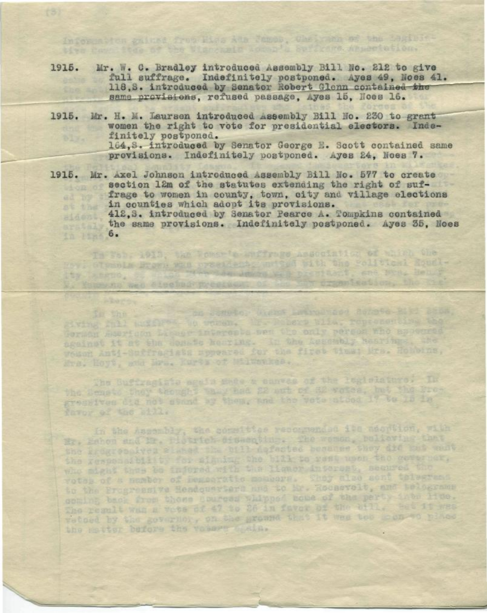1915. Mr. W. C. Bradley introduced Assembly Bill No. 212 to give full suffrage. Indefinitely postponed. Ayes 49, Noes 41. 118,S. introduced by Senator Robert Glenn contained the same provisions, refused passage. Ayes 15, Noes 16.

Information galaxe from Pies Ada James, Cheirama of the Lagislative case fter of the Wienemain Locan's Spritters Anneetation.

- 1915. Mr. H. M. Laursen introduced Assembly Bill No. 230 to grant women the right to vote for presidential electors. Indefinitely postponed. 164, S. introduced by Senator George E. Scott contained same provisions. Indefinitely postponed. Ayes 24, Noes 7.
- 1915. Mr. Axel Johnson introduced Âssembly Bill Ho. 577 to create section 12m of the statutes extending the right of suffrage to women in county, town, city and village elections ad 39% in counties which adopt its provisions. 412, 3. introduced by Senator Pearce A. Tompkins contained the same provisions. Indefinitely postponed. Ayes 36, loes 1n 1m 6.

In This 1913, the Vener's anffrage Association of which the

nov: Glympia Brawn was createdly materilled bith the colltical Equal-

k. Yammung web electron president of the

In the Contract on Statele, Andre Latingvood Achete Rich 2864.<br>Exting ALL LEADER TO WORD, It Pubers Wild, representing the ngeinst it at the donate kearing. In the Assembly Nesrings, the Ers. Hoyt, and Mrs. Kurts of Milwaukee. The Buffraginia egals which a canves of the legislature. In

the Bensto they thought they had 22 aut of 32 votes, but the Progressives did not stand by them, and the vote aloca 17 to 15 in favor of the sill.

In the Assembly, the sometties recommended its macritics, with Hr. Eshen sud Br. Plotrich dissampting. The women, bulieving that the Progressives slabed the bill defected because they did but wortthe gesponsibility for signing the bill to rest upon the coverner, to the Progressive Headquarters and to Mr. Roomevolt, and bolograms coming back from those courses whipped bome of the perty into line. The result wan a vote of 47 to 26 in favor of the sill. But it was vetoed by the governot, on the ground that It was too moment place the satter before the voters spain.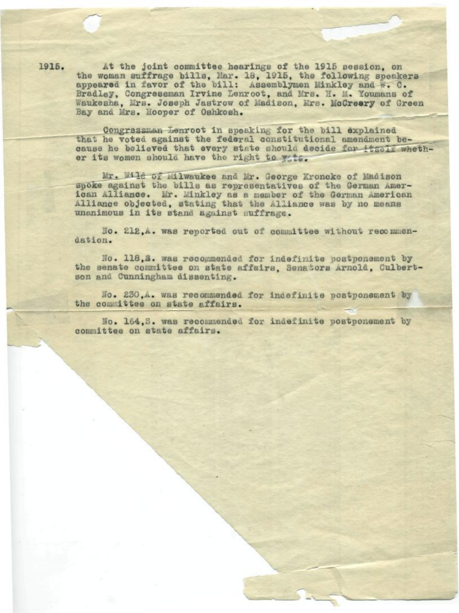At the joint committee hearings of the 1915 session, on the woman suffrage bills. Mar. 18, 1915, the following speakers appeared in favor of the bill: Assemblymen Minkley and W. C. Bradley, Congressman Irvine Lenroot, and Mrs. H. M. Youmans of Waukesha, Mrs. Joseph Jastrow of Madison, Mrs. McCreery of Green Bay and Mrs. Hooper of Oshkosh.

Congressman Lenroot in speaking for the bill explained that he voted against the federal constitutional amendment because he believed that every state should decide for itself whether its women should have the right to wite.

Mr. Wild of Milwaukee and Mr. George Kroncke of Madison spoke against the bills as representatives of the German American Alliance. Mr. Minkley as a member of the German American Alliance objected, stating that the Alliance was by no means unanimous in its stand against suffrage.

No. 212.A. was reported out of committee without recommendation.

No. 118,8. was recommended for indefinite postponement by the senate committee on state affairs. Senators Arnold, Culbertson and Cunningham dissenting.

No. 230.A. was recommended for indefinite postponement by the committee on state affairs.

No. 164, S. was recommended for indefinite postponement by committee on state affairs.

1915.